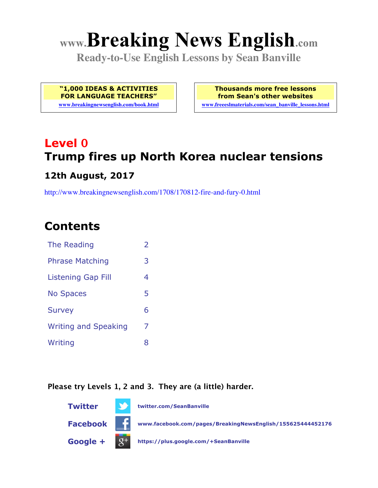# **www.Breaking News English.com**

**Ready-to-Use English Lessons by Sean Banville**

**"1,000 IDEAS & ACTIVITIES FOR LANGUAGE TEACHERS"**

**www.breakingnewsenglish.com/book.html**

**Thousands more free lessons from Sean's other websites www.freeeslmaterials.com/sean\_banville\_lessons.html**

## **Level 0 Trump fires up North Korea nuclear tensions**

#### **12th August, 2017**

http://www.breakingnewsenglish.com/1708/170812-fire-and-fury-0.html

### **Contents**

| The Reading                 | $\overline{\phantom{a}}$ |
|-----------------------------|--------------------------|
| <b>Phrase Matching</b>      | 3                        |
| <b>Listening Gap Fill</b>   | 4                        |
| <b>No Spaces</b>            | 5                        |
| <b>Survey</b>               | 6                        |
| <b>Writing and Speaking</b> | 7                        |
| Writing                     | 8                        |
|                             |                          |

#### **Please try Levels 1, 2 and 3. They are (a little) harder.**

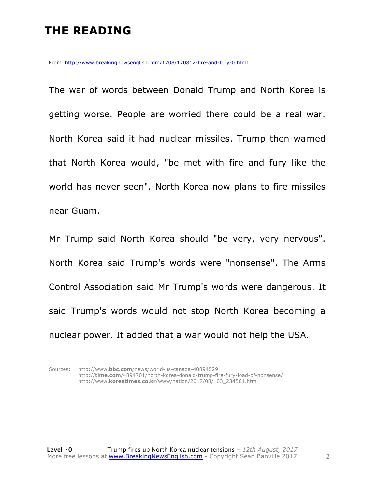### **THE READING**

From http://www.breakingnewsenglish.com/1708/170812-fire-and-fury-0.html

The war of words between Donald Trump and North Korea is getting worse. People are worried there could be a real war. North Korea said it had nuclear missiles. Trump then warned that North Korea would, "be met with fire and fury like the world has never seen". North Korea now plans to fire missiles near Guam.

Mr Trump said North Korea should "be very, very nervous". North Korea said Trump's words were "nonsense". The Arms Control Association said Mr Trump's words were dangerous. It said Trump's words would not stop North Korea becoming a nuclear power. It added that a war would not help the USA.

Sources: http://www.**bbc.com**/news/world-us-canada-40894529 http://**time.com**/4894701/north-korea-donald-trump-fire-fury-load-of-nonsense/ http://www.**koreatimes.co.kr**/www/nation/2017/08/103\_234561.html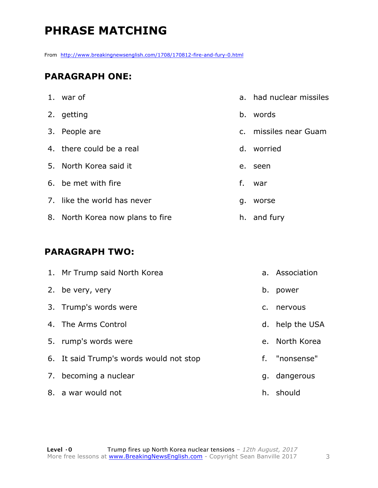### **PHRASE MATCHING**

From http://www.breakingnewsenglish.com/1708/170812-fire-and-fury-0.html

#### **PARAGRAPH ONE:**

| 1. war of                        | $a_{-}$ | had nuclear missiles  |
|----------------------------------|---------|-----------------------|
| 2. getting                       |         | b. words              |
| 3. People are                    |         | c. missiles near Guam |
| 4. there could be a real         |         | d. worried            |
| 5. North Korea said it           | e.      | seen                  |
| 6. be met with fire              | f.      | war                   |
| 7. like the world has never      | g.      | worse                 |
| 8. North Korea now plans to fire |         | h. and fury           |

#### **PARAGRAPH TWO:**

| 1. Mr Trump said North Korea            |    | a. Association  |
|-----------------------------------------|----|-----------------|
| 2. be very, very                        |    | b. power        |
| 3. Trump's words were                   | C. | nervous         |
| 4. The Arms Control                     |    | d. help the USA |
| 5. rump's words were                    |    | e. North Korea  |
| 6. It said Trump's words would not stop |    | f. "nonsense"   |
| 7. becoming a nuclear                   |    | g. dangerous    |
| 8. a war would not                      |    | h. should       |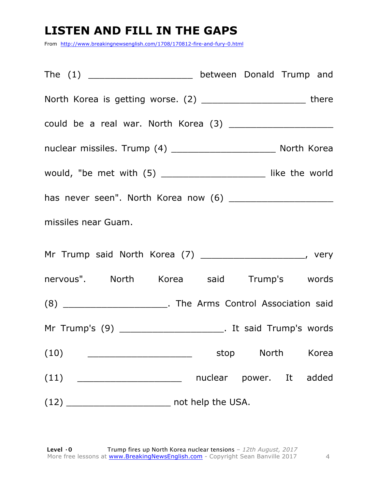### **LISTEN AND FILL IN THE GAPS**

From http://www.breakingnewsenglish.com/1708/170812-fire-and-fury-0.html

The (1) The  $\sim$  between Donald Trump and North Korea is getting worse. (2) \_\_\_\_\_\_\_\_\_\_\_\_\_\_\_\_\_\_\_\_\_\_\_\_\_\_there could be a real war. North Korea (3) \_\_\_\_\_\_\_\_\_\_\_\_\_\_\_\_\_\_\_ nuclear missiles. Trump (4) \_\_\_\_\_\_\_\_\_\_\_\_\_\_\_\_\_\_\_\_\_\_\_\_\_\_ North Korea would, "be met with (5) \_\_\_\_\_\_\_\_\_\_\_\_\_\_\_\_\_\_\_ like the world has never seen". North Korea now (6) \_\_\_\_\_\_\_\_\_\_\_\_\_\_\_\_\_\_\_ missiles near Guam. Mr Trump said North Korea (7) \_\_\_\_\_\_\_\_\_\_\_\_\_\_\_\_\_\_\_\_\_\_, very nervous". North Korea said Trump's words (8) \_\_\_\_\_\_\_\_\_\_\_\_\_\_\_\_\_\_\_. The Arms Control Association said Mr Trump's (9) \_\_\_\_\_\_\_\_\_\_\_\_\_\_\_\_\_\_\_. It said Trump's words (10) \_\_\_\_\_\_\_\_\_\_\_\_\_\_\_\_\_\_\_ stop North Korea (11) \_\_\_\_\_\_\_\_\_\_\_\_\_\_\_\_\_\_\_ nuclear power. It added (12) \_\_\_\_\_\_\_\_\_\_\_\_\_\_\_\_\_\_\_ not help the USA.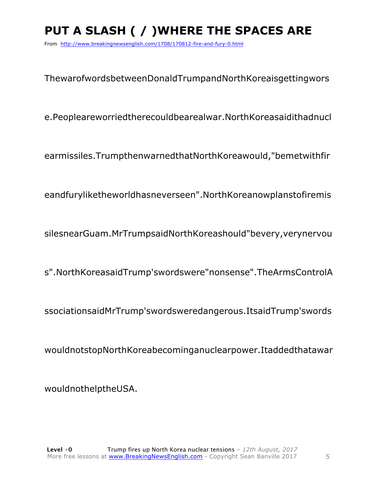### **PUT A SLASH ( / )WHERE THE SPACES ARE**

From http://www.breakingnewsenglish.com/1708/170812-fire-and-fury-0.html

ThewarofwordsbetweenDonaldTrumpandNorthKoreaisgettingwors

e.Peopleareworriedtherecouldbearealwar.NorthKoreasaidithadnucl

earmissiles.TrumpthenwarnedthatNorthKoreawould,"bemetwithfir

eandfuryliketheworldhasneverseen".NorthKoreanowplanstofiremis

silesnearGuam.MrTrumpsaidNorthKoreashould"bevery,verynervou

s".NorthKoreasaidTrump'swordswere"nonsense".TheArmsControlA

ssociationsaidMrTrump'swordsweredangerous.ItsaidTrump'swords

wouldnotstopNorthKoreabecominganuclearpower.Itaddedthatawar

wouldnothelptheUSA.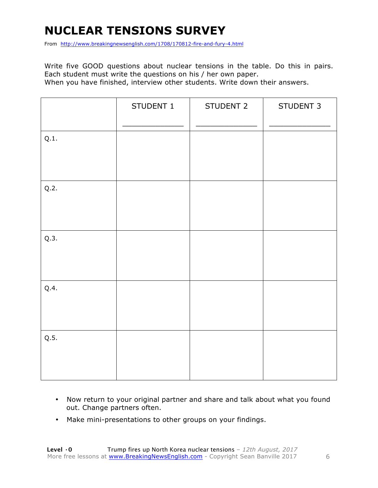### **NUCLEAR TENSIONS SURVEY**

From http://www.breakingnewsenglish.com/1708/170812-fire-and-fury-4.html

Write five GOOD questions about nuclear tensions in the table. Do this in pairs. Each student must write the questions on his / her own paper. When you have finished, interview other students. Write down their answers.

|      | STUDENT 1 | STUDENT 2 | STUDENT 3 |
|------|-----------|-----------|-----------|
| Q.1. |           |           |           |
| Q.2. |           |           |           |
| Q.3. |           |           |           |
| Q.4. |           |           |           |
| Q.5. |           |           |           |

- Now return to your original partner and share and talk about what you found out. Change partners often.
- Make mini-presentations to other groups on your findings.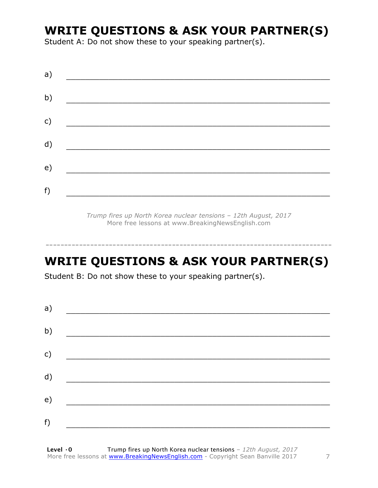### **WRITE QUESTIONS & ASK YOUR PARTNER(S)**

Student A: Do not show these to your speaking partner(s).

| a) |  |  |
|----|--|--|
| b) |  |  |
| c) |  |  |
| d) |  |  |
| e) |  |  |
| f) |  |  |
|    |  |  |

*Trump fires up North Korea nuclear tensions – 12th August, 2017* More free lessons at www.BreakingNewsEnglish.com

### **WRITE QUESTIONS & ASK YOUR PARTNER(S)**

-----------------------------------------------------------------------------

Student B: Do not show these to your speaking partner(s).

| a) |  |  |
|----|--|--|
| b) |  |  |
| c) |  |  |
| d) |  |  |
| e) |  |  |
|    |  |  |
| f) |  |  |